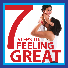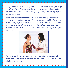*Congratulations on the birth of your baby! Like many moms, you might be feeling differently about your body now. Once you and your baby settle into a routine, you will be ready to gradually start taking steps to feel like you again.*

**Go to your postpartum check up.** *Learn ways to stay healthy and bring a list of questions you have for your medical provider. Remember to take it easy at first. Health care providers may tell women not to think about a weight loss plan or exercise for the first six weeks after delivery to allow the body to heal. Sometimes it may take longer before you get the okay.*



**Choose from these easy steps to move towards a healthy weight when your body is ready. You can try the steps in any order and see what works for you!**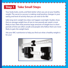### **Step 1 Take Small Steps**

Your body looks, works, and feels better when you are at your healthy weight. The secret to success is making small positive changes in your eating and level of activity that you can stick to for life!

Safe, long-term weight loss does not happen overnight. Studies show that an average weight loss of one to two pounds per week is most likely to last. Diets that promise large amounts of weight loss in short periods of time are often unsafe and people who follow them are more likely to gain the weight back.

Ask your WIC nutritionist to help you find out what a healthy weight is for you!

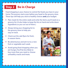# **Step 2 Be in Charge**

Food shopping is your chance to control the foods you have in your home. The process starts even before you head to the grocery store. These tips will help you stick to healthy choices **and** your budget:

- Plan meals for the entire week and write the items you'll need on a grocery list. (It also helps to keep the list on hand and write down ingredients as you run out of them.)
- Always bring your shopping list to the grocery store to help you stay on track.
- Check out the sale flyers for fresh, in-season items.
- Be adventurous and aim to try a new fruit or vegetable each week.
- Avoid going food shopping when you are hungry. You'll be less likely to buy more than you need or choose unhealthy snacks and treats.

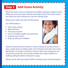## **Step 3 Add Some Activity**

Physical activity is just as important as healthy eating for weight control. When you move, you burn calories and build muscle. The more muscle you have, the more calories you can burn all day long!

Being active helps you look and feel good.

You will be able to:

- Have more energy
- Work off stress
- Tone your muscles
- Get to a healthy weight, and stay there
- Improve your mood
- Keep up with your children!



Experts recommend 30 minutes or more of physical activity at least 5 days a week. Start by setting aside 10-20 minutes each day to be active. Remember, 10 minutes of activity 3 times a day is just as good as one 30-minute session! Be sure to pick activities you enjoy, whether it's walking, taking the kids to the park, or yoga.

Always check with your doctor before starting a new exercise program.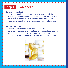# **Step 4 Plan Ahead**

#### **Eat on a regular basis**

- Try to eat 3 small meals and 1 to 2 healthy snacks each day.
- Not eating for long periods of time and skipping meals can slow down your metabolism which makes it difficult to lose weight. You are also more likely to overeat at your next meal or snack.

#### **Rethink your drink**

- Choose 1% or skim milk instead of whole or 2%.
- Beware of juice, soda, energy and sports drinks, coffee with cream and sugar, and alcohol—those calories add up quickly!
- Add lemon, lime or orange slices to your water for extra flavor.

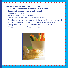#### **Keep healthy 100-calorie snacks on hand**

- <sup>1</sup>/<sub>2</sub> cup of low-fat cottage cheese and 5 strawberries
- 3 cups of air-popped popcorn (unbuttered)
- 19 mini pretzel twists
- Small handful of nuts (14 almonds)
- Half an apple sliced with 2 tsp. of peanut butter
- Romaine lettuce leaves rolled up with 2 slices of deli turkey and mustard
- <sup>1/4</sup> cup of fat-free Ranch dressing and 1 cup of raw vegetables (celery sticks, carrots, grape tomatoes, bell pepper slices)
- 2 Tbsp. of hummus with 1 cup of vegetables

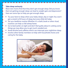#### **Take sleep seriously**

Most new moms find that they don't get enough sleep. Did you know that not getting enough sleep can lead to weight gain and depression? Here are some tips to help you get enough sleep:

- Try your best to sleep when your baby sleeps, day or night. You won't get a stretch of 8 hours of sleep, but every little bit helps.
- Set up a bedtime routine. Whether it's a bath, book or other ritual, routines can help us fall asleep faster.
- Go to bed earlier at night and don't feel guilty about it. Letting some things go may allow you to get much-needed rest.
- Avoid alcohol and caffeine which can interrupt your nighttime sleep.
- Involve other family members to help with household chores and caring for the baby.

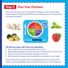### **Step 5 Plan Your Portions**

How much you eat is just as important as what you eat. Use the plate model below to help you think about controlling portion size. How does your plate compare?



#### **Fill half your plate with fruits and vegetables.**

- Eat a variety of fruits and vegetables rich in color.
- Add chopped peppers, carrots or zucchini to meats, sauces or brown rice.
- Top your cereal or oatmeal with bananas or berries.
- Add mandarin oranges, dried cranberries or avocado to your salad.

Fresh, frozen, and canned fruits and vegetables all count. Choose lowsodium canned vegetables and canned fruits that are in 100 % fruit juice.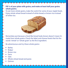### **Fill ¼ of your plate with grains, and make at least half your grains whole grains.**

To eat more whole grains, make the switch for some of your staple foods. Enjoy whole wheat bread instead of white bread, or brown rice instead of white rice.



Remember, just because a food like bread looks brown doesn't mean it's made from whole grains. Check the label, and choose foods that list the words "whole" or "whole grain" as the first ingredient.

Be adventurous and try these whole grains:

- **Barley**
- **Bulgur**
- **Brown rice**
- Farro
- Oats
- Whole wheat bread and pasta
- **Ouinoa**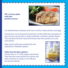

**Fill ¼ of your plate with lean protein sources.**

Try seafood, beans and peas, and nuts as well as meats, poultry, and eggs.

Choose lean cuts and ground meat that is at least 90% lean. Examples of lean cuts are round roast or steak, tenderloin or skinless chicken breast. Trim and drain fat from meat and remove skin from poultry to cut fat and calories.

Bake, broil or grill meat, poultry, fish and seafood for a healthier option!

#### **Select low-fat dairy options.**

Choose skim or 1% milk, yogurt and cheese. They have the same amount of calcium and other nutrients as whole or 2% milk, but less fat and calories.

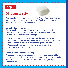### **Dine Out Wisely**

Be aware of what you eat when you are on the go! You may not realize how many calories are in your favorite fast food meal. Here are some ways to make better choices when eating out.

#### **Go for health, not 'value'**

Choose smaller portions, or if you order a larger meal, share it! Remember, drinks have calories too—choose water or order a small sized beverage. Here are a few more tips:

- Avoid the breadbasket. Save your appetite for the main meal.
- Restaurant portions are often large. If you're not splitting your meal with someone, bring half of it home to enjoy the next day.
- Ask to substitute a fruit, vegetable or salad for the fries.
- Eat slowly so you will eat less.

#### **Order your fish and chicken wisely**

Breading, skin and mayonnaise add a lot of extra calories and fat to your meal. Order grilled or baked items instead of crispy (which usually means fried) or remove the skin and breading before you dig in…and skip the sauce!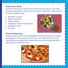#### **Order smart salads**

Order the dressing on the side and choose low-fat options. Limit highfat salad toppings like cheese, bacon, croutons and crispy shells. Instead, try these healthy fixings:

- Mandarin oranges
- Dried cranberries
- Grilled chicken
- **Chickpeas or other beans/lentils**
- Sunflower seeds
- Avocado

#### **Pick the better pizza**



Order your pizza with lots of vegetables instead of pepperoni, sausage, hamburger or extra cheese. Choose thin crust rather than thick, and avoid the crusts stuffed with cheese. Enjoy one slice of pizza and add a side salad for a healthier meal.

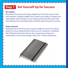# **Step 7 Set Yourself Up for Success**

### **Be realistic**

Remember that slow and steady weight loss is the best way to reach and maintain a healthy weight. Don't expect your body to change overnight. Make small changes in your eating and activity that work with your lifestyle. Set reasonable goals and think about long-term success.

#### **Keep a journal**

Keeping track of what you eat is a great weight loss tool. You will see patterns in your eating and find what you can change for a healthier diet. Physical activity journals are also a great way to keep you motivated to move. Some people make a list in their cell phones.

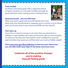#### **Find a buddy**

Set fitness and eating goals with a supportive friend or family member. It is a lot easier to follow through on good intentions when someone else is rooting for you.



#### **Reward yourself…but not with food**

When you reach a goal, treat yourself! Spend some time alone with your favorite book or magazine, go to a movie or try on those jeans you've put away in your closet and NOW see how they fit!

#### **Don't give up**

If you miss an exercise session or eat more than you planned on a holiday or a get together, don't give up! Everyone slips up now and then. It's what you do long-term that matters. Have confidence in yourself and remember how great you will feel when you reach a healthy weight!

**Visit www.mass.gov/MassInMotion to find out more about how you can take small, easy steps to eat better and move more.**

> **Celebrate all of the positive changes you're making towards feeling great!**